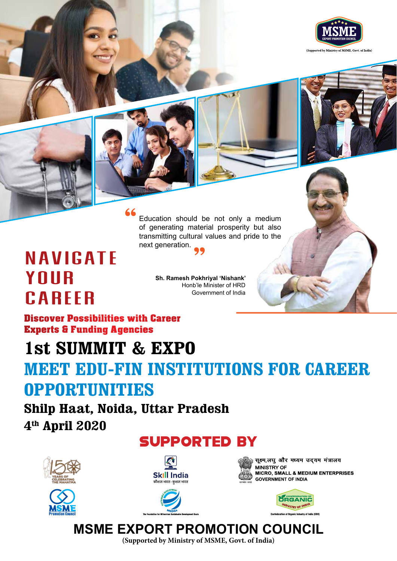



Education should be not only a medium of generating material prosperity but also transmitting cultural values and pride to the next generation.

# **NAVIGATE** YOUR CAREER

**Sh. Ramesh Pokhriyal 'Nishank'** Honb'le Minister of HRD Government of India

Discover Possibilities with Career Experts & Funding Agencies

## **1st SUMMIT & EXPO**

# **MEET EDU-FIN INSTITUTIONS FOR CAREER OPPORTUNITIES**

**Shilp Haat, Noida, Uttar Pradesh 4th April 2020**

## SupporteD By









सूक्ष्म,लघु और मध्यम उद्**यम मंत्रालय MINISTRY OF** MICRO, SMALL & MEDIUM ENTERPRISES **GOVERNMENT OF INDIA** 



## **MSME EXPORT PROMOTION COUNCIL**

**(Supported by Ministry of MSME, Govt. of India)**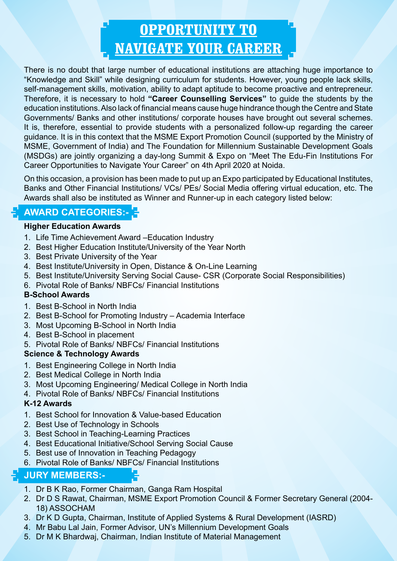# **OPPORTUNITY TO NAVIGATE YOUR CAREER**

There is no doubt that large number of educational institutions are attaching huge importance to "Knowledge and Skill" while designing curriculum for students. However, young people lack skills, self-management skills, motivation, ability to adapt aptitude to become proactive and entrepreneur. Therefore, it is necessary to hold **"Career Counselling Services"** to guide the students by the education institutions. Also lack of financial means cause huge hindrance though the Centre and State Governments/ Banks and other institutions/ corporate houses have brought out several schemes. It is, therefore, essential to provide students with a personalized follow-up regarding the career guidance. It is in this context that the MSME Export Promotion Council (supported by the Ministry of MSME, Government of India) and The Foundation for Millennium Sustainable Development Goals (MSDGs) are jointly organizing a day-long Summit & Expo on "Meet The Edu-Fin Institutions For Career Opportunities to Navigate Your Career" on 4th April 2020 at Noida.

On this occasion, a provision has been made to put up an Expo participated by Educational Institutes, Banks and Other Financial Institutions/ VCs/ PEs/ Social Media offering virtual education, etc. The Awards shall also be instituted as Winner and Runner-up in each category listed below:

### **AWARD CATEGORIES:-**

#### **Higher Education Awards**

- 1. Life Time Achievement Award –Education Industry
- 2. Best Higher Education Institute/University of the Year North
- 3. Best Private University of the Year
- 4. Best Institute/University in Open, Distance & On-Line Learning
- 5. Best Institute/University Serving Social Cause- CSR (Corporate Social Responsibilities)
- 6. Pivotal Role of Banks/ NBFCs/ Financial Institutions

#### **B-School Awards**

- 1. Best B-School in North India
- 2. Best B-School for Promoting Industry Academia Interface
- 3. Most Upcoming B-School in North India
- 4. Best B-School in placement
- 5. Pivotal Role of Banks/ NBFCs/ Financial Institutions

#### **Science & Technology Awards**

- 1. Best Engineering College in North India
- 2. Best Medical College in North India
- 3. Most Upcoming Engineering/ Medical College in North India
- 4. Pivotal Role of Banks/ NBFCs/ Financial Institutions

#### **K-12 Awards**

- 1. Best School for Innovation & Value-based Education
- 2. Best Use of Technology in Schools
- 3. Best School in Teaching-Learning Practices
- 4. Best Educational Initiative/School Serving Social Cause
- 5. Best use of Innovation in Teaching Pedagogy
- 6. Pivotal Role of Banks/ NBFCs/ Financial Institutions

#### **JURY MEMBERS:-**

- 1. Dr B K Rao, Former Chairman, Ganga Ram Hospital
- 2. Dr D S Rawat, Chairman, MSME Export Promotion Council & Former Secretary General (2004- 18) ASSOCHAM
- 3. Dr K D Gupta, Chairman, Institute of Applied Systems & Rural Development (IASRD)
- 4. Mr Babu Lal Jain, Former Advisor, UN's Millennium Development Goals
- 5. Dr M K Bhardwaj, Chairman, Indian Institute of Material Management